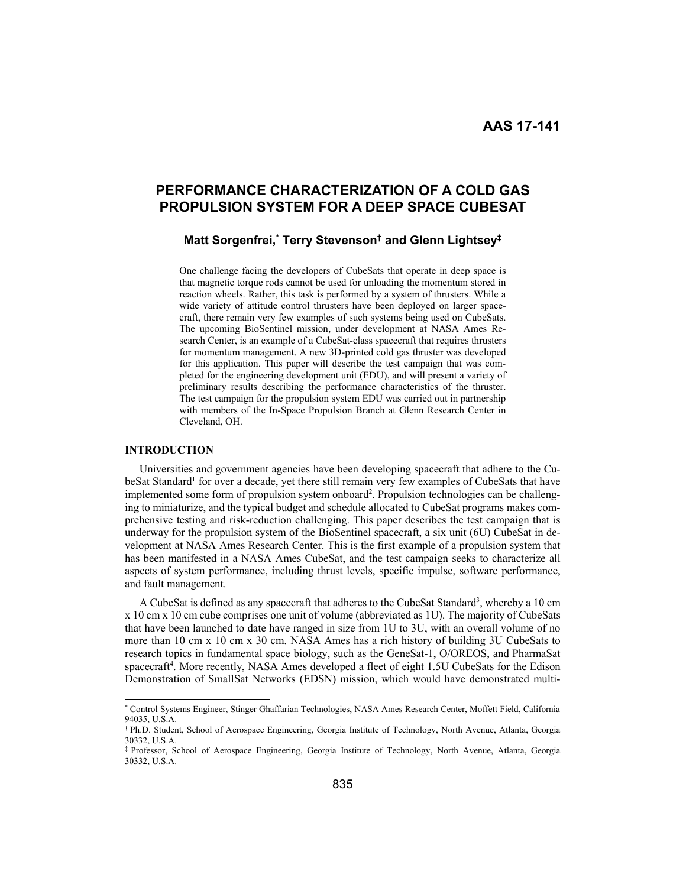# **PERFORMANCE CHARACTERIZATION OF A COLD GAS PROPULSION SYSTEM FOR A DEEP SPACE CUBESAT**

# **Matt Sorgenfrei,\* Terry Stevenson† and Glenn Lightsey‡**

One challenge facing the developers of CubeSats that operate in deep space is that magnetic torque rods cannot be used for unloading the momentum stored in reaction wheels. Rather, this task is performed by a system of thrusters. While a wide variety of attitude control thrusters have been deployed on larger spacecraft, there remain very few examples of such systems being used on CubeSats. The upcoming BioSentinel mission, under development at NASA Ames Research Center, is an example of a CubeSat-class spacecraft that requires thrusters for momentum management. A new 3D-printed cold gas thruster was developed for this application. This paper will describe the test campaign that was completed for the engineering development unit (EDU), and will present a variety of preliminary results describing the performance characteristics of the thruster. The test campaign for the propulsion system EDU was carried out in partnership with members of the In-Space Propulsion Branch at Glenn Research Center in Cleveland, OH.

### **INTRODUCTION**

Universities and government agencies have been developing spacecraft that adhere to the CubeSat Standard<sup>1</sup> for over a decade, yet there still remain very few examples of CubeSats that have implemented some form of propulsion system onboard<sup>2</sup>. Propulsion technologies can be challenging to miniaturize, and the typical budget and schedule allocated to CubeSat programs makes comprehensive testing and risk-reduction challenging. This paper describes the test campaign that is underway for the propulsion system of the BioSentinel spacecraft, a six unit (6U) CubeSat in development at NASA Ames Research Center. This is the first example of a propulsion system that has been manifested in a NASA Ames CubeSat, and the test campaign seeks to characterize all aspects of system performance, including thrust levels, specific impulse, software performance, and fault management.

A CubeSat is defined as any spacecraft that adheres to the CubeSat Standard<sup>3</sup>, whereby a 10 cm x 10 cm x 10 cm cube comprises one unit of volume (abbreviated as 1U). The majority of CubeSats that have been launched to date have ranged in size from 1U to 3U, with an overall volume of no more than 10 cm x 10 cm x 30 cm. NASA Ames has a rich history of building 3U CubeSats to research topics in fundamental space biology, such as the GeneSat-1, O/OREOS, and PharmaSat spacecraft<sup>4</sup>. More recently, NASA Ames developed a fleet of eight 1.5U CubeSats for the Edison Demonstration of SmallSat Networks (EDSN) mission, which would have demonstrated multi-

 <sup>\*</sup> Control Systems Engineer, Stinger Ghaffarian Technologies, NASA Ames Research Center, Moffett Field, California 94035, U.S.A.

<sup>†</sup> Ph.D. Student, School of Aerospace Engineering, Georgia Institute of Technology, North Avenue, Atlanta, Georgia 30332, U.S.A.

<sup>‡</sup> Professor, School of Aerospace Engineering, Georgia Institute of Technology, North Avenue, Atlanta, Georgia 30332, U.S.A.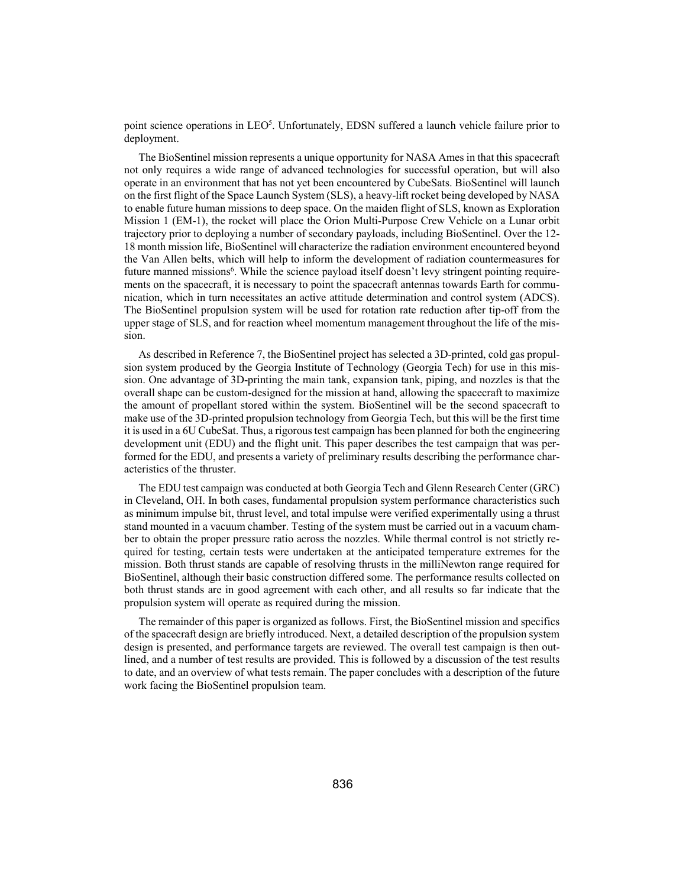point science operations in LEO<sup>5</sup>. Unfortunately, EDSN suffered a launch vehicle failure prior to deployment.

The BioSentinel mission represents a unique opportunity for NASA Ames in that this spacecraft not only requires a wide range of advanced technologies for successful operation, but will also operate in an environment that has not yet been encountered by CubeSats. BioSentinel will launch on the first flight of the Space Launch System (SLS), a heavy-lift rocket being developed by NASA to enable future human missions to deep space. On the maiden flight of SLS, known as Exploration Mission 1 (EM-1), the rocket will place the Orion Multi-Purpose Crew Vehicle on a Lunar orbit trajectory prior to deploying a number of secondary payloads, including BioSentinel. Over the 12- 18 month mission life, BioSentinel will characterize the radiation environment encountered beyond the Van Allen belts, which will help to inform the development of radiation countermeasures for future manned missions<sup>6</sup>. While the science payload itself doesn't levy stringent pointing requirements on the spacecraft, it is necessary to point the spacecraft antennas towards Earth for communication, which in turn necessitates an active attitude determination and control system (ADCS). The BioSentinel propulsion system will be used for rotation rate reduction after tip-off from the upper stage of SLS, and for reaction wheel momentum management throughout the life of the mission.

As described in Reference 7, the BioSentinel project has selected a 3D-printed, cold gas propulsion system produced by the Georgia Institute of Technology (Georgia Tech) for use in this mission. One advantage of 3D-printing the main tank, expansion tank, piping, and nozzles is that the overall shape can be custom-designed for the mission at hand, allowing the spacecraft to maximize the amount of propellant stored within the system. BioSentinel will be the second spacecraft to make use of the 3D-printed propulsion technology from Georgia Tech, but this will be the first time it is used in a 6U CubeSat. Thus, a rigorous test campaign has been planned for both the engineering development unit (EDU) and the flight unit. This paper describes the test campaign that was performed for the EDU, and presents a variety of preliminary results describing the performance characteristics of the thruster.

The EDU test campaign was conducted at both Georgia Tech and Glenn Research Center (GRC) in Cleveland, OH. In both cases, fundamental propulsion system performance characteristics such as minimum impulse bit, thrust level, and total impulse were verified experimentally using a thrust stand mounted in a vacuum chamber. Testing of the system must be carried out in a vacuum chamber to obtain the proper pressure ratio across the nozzles. While thermal control is not strictly required for testing, certain tests were undertaken at the anticipated temperature extremes for the mission. Both thrust stands are capable of resolving thrusts in the milliNewton range required for BioSentinel, although their basic construction differed some. The performance results collected on both thrust stands are in good agreement with each other, and all results so far indicate that the propulsion system will operate as required during the mission.

The remainder of this paper is organized as follows. First, the BioSentinel mission and specifics of the spacecraft design are briefly introduced. Next, a detailed description of the propulsion system design is presented, and performance targets are reviewed. The overall test campaign is then outlined, and a number of test results are provided. This is followed by a discussion of the test results to date, and an overview of what tests remain. The paper concludes with a description of the future work facing the BioSentinel propulsion team.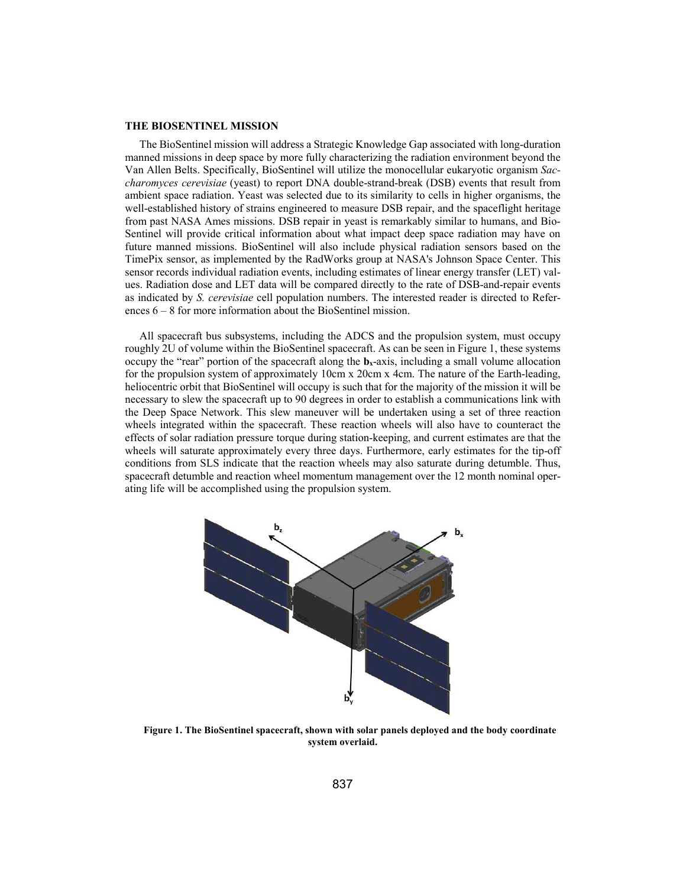#### **THE BIOSENTINEL MISSION**

The BioSentinel mission will address a Strategic Knowledge Gap associated with long-duration manned missions in deep space by more fully characterizing the radiation environment beyond the Van Allen Belts. Specifically, BioSentinel will utilize the monocellular eukaryotic organism *Saccharomyces cerevisiae* (yeast) to report DNA double-strand-break (DSB) events that result from ambient space radiation. Yeast was selected due to its similarity to cells in higher organisms, the well-established history of strains engineered to measure DSB repair, and the spaceflight heritage from past NASA Ames missions. DSB repair in yeast is remarkably similar to humans, and Bio-Sentinel will provide critical information about what impact deep space radiation may have on future manned missions. BioSentinel will also include physical radiation sensors based on the TimePix sensor, as implemented by the RadWorks group at NASA's Johnson Space Center. This sensor records individual radiation events, including estimates of linear energy transfer (LET) values. Radiation dose and LET data will be compared directly to the rate of DSB-and-repair events as indicated by *S. cerevisiae* cell population numbers. The interested reader is directed to References 6 – 8 for more information about the BioSentinel mission.

All spacecraft bus subsystems, including the ADCS and the propulsion system, must occupy roughly 2U of volume within the BioSentinel spacecraft. As can be seen in Figure 1, these systems occupy the "rear" portion of the spacecraft along the  $\mathbf{b}_x$ -axis, including a small volume allocation for the propulsion system of approximately 10cm x 20cm x 4cm. The nature of the Earth-leading, heliocentric orbit that BioSentinel will occupy is such that for the majority of the mission it will be necessary to slew the spacecraft up to 90 degrees in order to establish a communications link with the Deep Space Network. This slew maneuver will be undertaken using a set of three reaction wheels integrated within the spacecraft. These reaction wheels will also have to counteract the effects of solar radiation pressure torque during station-keeping, and current estimates are that the wheels will saturate approximately every three days. Furthermore, early estimates for the tip-off conditions from SLS indicate that the reaction wheels may also saturate during detumble. Thus, spacecraft detumble and reaction wheel momentum management over the 12 month nominal operating life will be accomplished using the propulsion system.



**Figure 1. The BioSentinel spacecraft, shown with solar panels deployed and the body coordinate system overlaid.**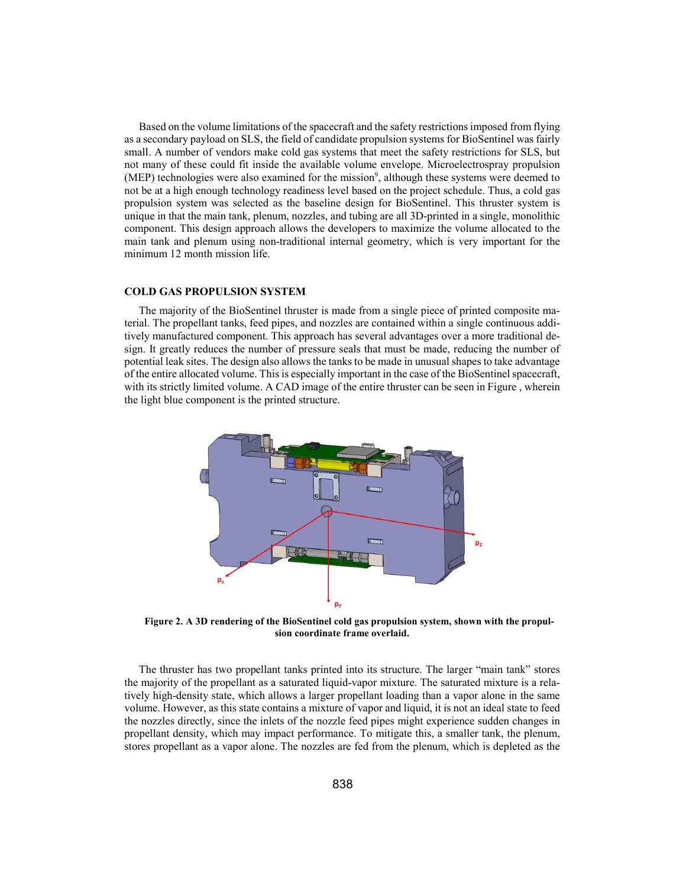Based on the volume limitations of the spacecraft and the safety restrictions imposed from flying as a secondary payload on SLS, the field of candidate propulsion systems for BioSentinel was fairly small. A number of vendors make cold gas systems that meet the safety restrictions for SLS, but not many of these could fit inside the available volume envelope. Microelectrospray propulsion (MEP) technologies were also examined for the mission<sup>9</sup>, although these systems were deemed to not be at a high enough technology readiness level based on the project schedule. Thus, a cold gas propulsion system was selected as the baseline design for BioSentinel. This thruster system is unique in that the main tank, plenum, nozzles, and tubing are all 3D-printed in a single, monolithic component. This design approach allows the developers to maximize the volume allocated to the main tank and plenum using non-traditional internal geometry, which is very important for the minimum 12 month mission life.

#### **COLD GAS PROPULSION SYSTEM**

The majority of the BioSentinel thruster is made from a single piece of printed composite material. The propellant tanks, feed pipes, and nozzles are contained within a single continuous additively manufactured component. This approach has several advantages over a more traditional design. It greatly reduces the number of pressure seals that must be made, reducing the number of potential leak sites. The design also allows the tanks to be made in unusual shapes to take advantage of the entire allocated volume. This is especially important in the case of the BioSentinel spacecraft, with its strictly limited volume. A CAD image of the entire thruster can be seen in Figure, wherein the light blue component is the printed structure.



**Figure 2. A 3D rendering of the BioSentinel cold gas propulsion system, shown with the propulsion coordinate frame overlaid.** 

The thruster has two propellant tanks printed into its structure. The larger "main tank" stores the majority of the propellant as a saturated liquid-vapor mixture. The saturated mixture is a relatively high-density state, which allows a larger propellant loading than a vapor alone in the same volume. However, as this state contains a mixture of vapor and liquid, it is not an ideal state to feed the nozzles directly, since the inlets of the nozzle feed pipes might experience sudden changes in propellant density, which may impact performance. To mitigate this, a smaller tank, the plenum, stores propellant as a vapor alone. The nozzles are fed from the plenum, which is depleted as the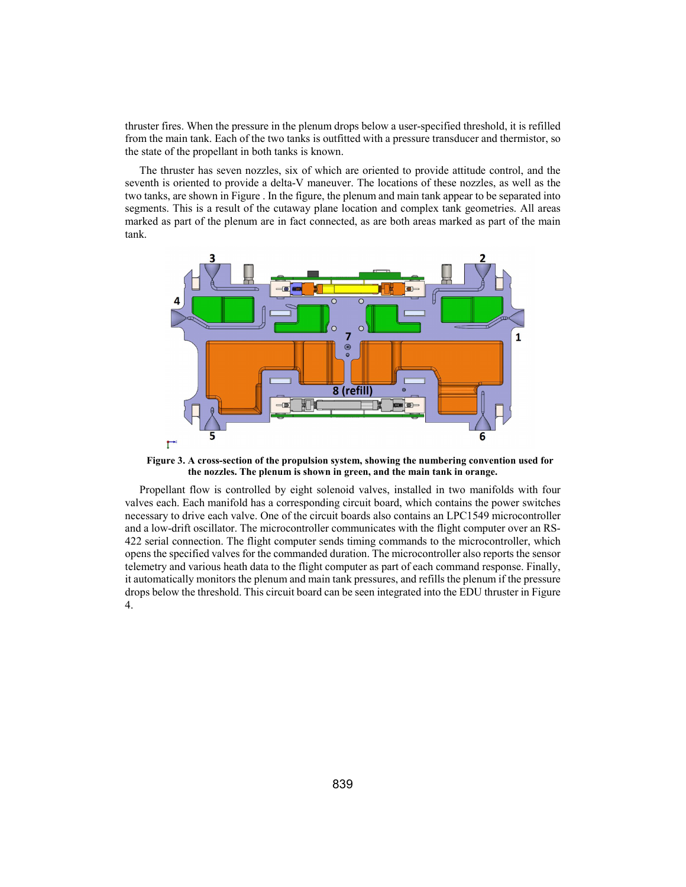thruster fires. When the pressure in the plenum drops below a user-specified threshold, it is refilled from the main tank. Each of the two tanks is outfitted with a pressure transducer and thermistor, so the state of the propellant in both tanks is known.

The thruster has seven nozzles, six of which are oriented to provide attitude control, and the seventh is oriented to provide a delta-V maneuver. The locations of these nozzles, as well as the two tanks, are shown in Figure . In the figure, the plenum and main tank appear to be separated into segments. This is a result of the cutaway plane location and complex tank geometries. All areas marked as part of the plenum are in fact connected, as are both areas marked as part of the main tank.



**Figure 3. A cross-section of the propulsion system, showing the numbering convention used for the nozzles. The plenum is shown in green, and the main tank in orange.** 

Propellant flow is controlled by eight solenoid valves, installed in two manifolds with four valves each. Each manifold has a corresponding circuit board, which contains the power switches necessary to drive each valve. One of the circuit boards also contains an LPC1549 microcontroller and a low-drift oscillator. The microcontroller communicates with the flight computer over an RS-422 serial connection. The flight computer sends timing commands to the microcontroller, which opens the specified valves for the commanded duration. The microcontroller also reports the sensor telemetry and various heath data to the flight computer as part of each command response. Finally, it automatically monitors the plenum and main tank pressures, and refills the plenum if the pressure drops below the threshold. This circuit board can be seen integrated into the EDU thruster in Figure 4.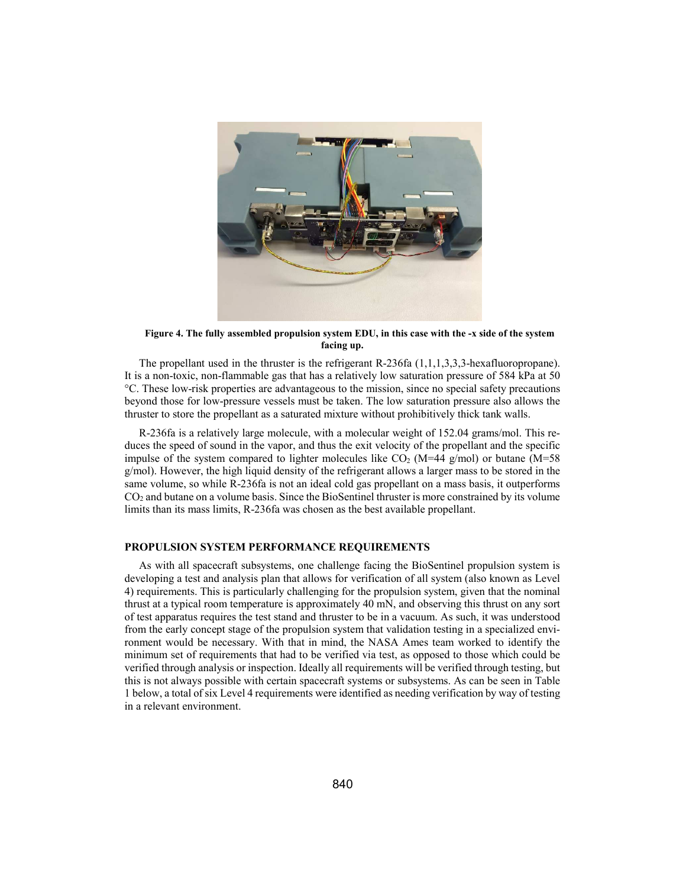

**Figure 4. The fully assembled propulsion system EDU, in this case with the -x side of the system facing up.** 

The propellant used in the thruster is the refrigerant R-236fa (1,1,1,3,3,3-hexafluoropropane). It is a non-toxic, non-flammable gas that has a relatively low saturation pressure of 584 kPa at 50 °C. These low-risk properties are advantageous to the mission, since no special safety precautions beyond those for low-pressure vessels must be taken. The low saturation pressure also allows the thruster to store the propellant as a saturated mixture without prohibitively thick tank walls.

R-236fa is a relatively large molecule, with a molecular weight of 152.04 grams/mol. This reduces the speed of sound in the vapor, and thus the exit velocity of the propellant and the specific impulse of the system compared to lighter molecules like  $CO<sub>2</sub>$  (M=44 g/mol) or butane (M=58 g/mol). However, the high liquid density of the refrigerant allows a larger mass to be stored in the same volume, so while R-236fa is not an ideal cold gas propellant on a mass basis, it outperforms  $CO<sub>2</sub>$  and butane on a volume basis. Since the BioSentinel thruster is more constrained by its volume limits than its mass limits, R-236fa was chosen as the best available propellant.

# **PROPULSION SYSTEM PERFORMANCE REQUIREMENTS**

As with all spacecraft subsystems, one challenge facing the BioSentinel propulsion system is developing a test and analysis plan that allows for verification of all system (also known as Level 4) requirements. This is particularly challenging for the propulsion system, given that the nominal thrust at a typical room temperature is approximately 40 mN, and observing this thrust on any sort of test apparatus requires the test stand and thruster to be in a vacuum. As such, it was understood from the early concept stage of the propulsion system that validation testing in a specialized environment would be necessary. With that in mind, the NASA Ames team worked to identify the minimum set of requirements that had to be verified via test, as opposed to those which could be verified through analysis or inspection. Ideally all requirements will be verified through testing, but this is not always possible with certain spacecraft systems or subsystems. As can be seen in Table 1 below, a total of six Level 4 requirements were identified as needing verification by way of testing in a relevant environment.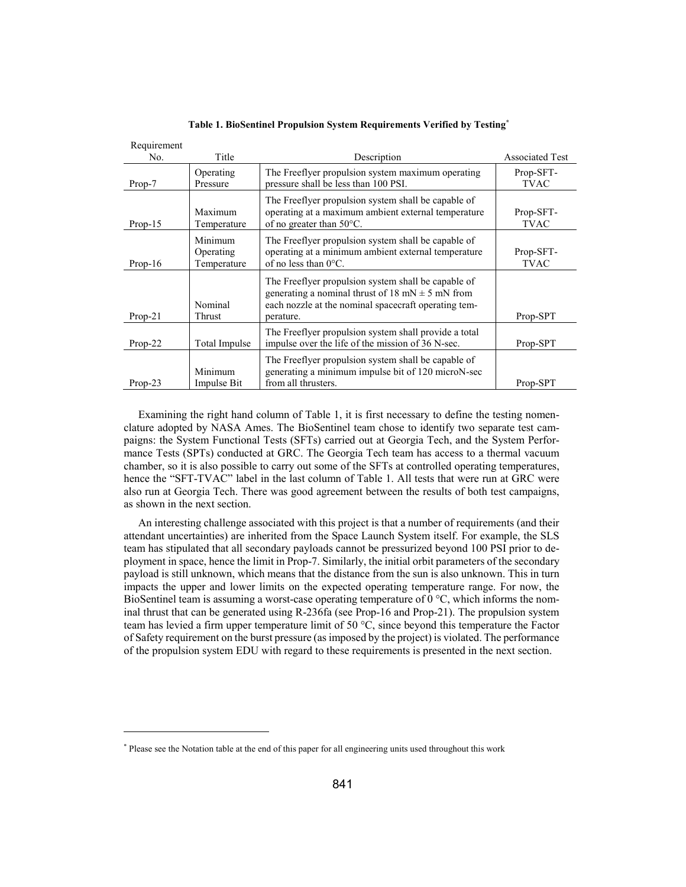| Requirement<br>No. | Title                               | Description                                                                                                                                                                      | <b>Associated Test</b>   |
|--------------------|-------------------------------------|----------------------------------------------------------------------------------------------------------------------------------------------------------------------------------|--------------------------|
| Prop-7             | Operating<br>Pressure               | The Freeflyer propulsion system maximum operating<br>pressure shall be less than 100 PSI.                                                                                        | Prop-SFT-<br><b>TVAC</b> |
| $Prop-15$          | Maximum<br>Temperature              | The Freeflyer propulsion system shall be capable of<br>operating at a maximum ambient external temperature<br>of no greater than $50^{\circ}$ C.                                 | Prop-SFT-<br><b>TVAC</b> |
| $Prop-16$          | Minimum<br>Operating<br>Temperature | The Freeflyer propulsion system shall be capable of<br>operating at a minimum ambient external temperature<br>of no less than $0^{\circ}$ C.                                     | Prop-SFT-<br><b>TVAC</b> |
| $Prop-21$          | Nominal<br>Thrust                   | The Freeflyer propulsion system shall be capable of<br>generating a nominal thrust of 18 mN $\pm$ 5 mN from<br>each nozzle at the nominal spacecraft operating tem-<br>perature. | Prop-SPT                 |
| $Prop-22$          | Total Impulse                       | The Freeflyer propulsion system shall provide a total<br>impulse over the life of the mission of 36 N-sec.                                                                       | Prop-SPT                 |
| $Prop-23$          | Minimum<br>Impulse Bit              | The Freeflyer propulsion system shall be capable of<br>generating a minimum impulse bit of 120 microN-sec<br>from all thrusters.                                                 | Prop-SPT                 |

**Table 1. BioSentinel Propulsion System Requirements Verified by Testing\***

Requirement

-

Examining the right hand column of Table 1, it is first necessary to define the testing nomenclature adopted by NASA Ames. The BioSentinel team chose to identify two separate test campaigns: the System Functional Tests (SFTs) carried out at Georgia Tech, and the System Performance Tests (SPTs) conducted at GRC. The Georgia Tech team has access to a thermal vacuum chamber, so it is also possible to carry out some of the SFTs at controlled operating temperatures, hence the "SFT-TVAC" label in the last column of Table 1. All tests that were run at GRC were also run at Georgia Tech. There was good agreement between the results of both test campaigns, as shown in the next section.

An interesting challenge associated with this project is that a number of requirements (and their attendant uncertainties) are inherited from the Space Launch System itself. For example, the SLS team has stipulated that all secondary payloads cannot be pressurized beyond 100 PSI prior to deployment in space, hence the limit in Prop-7. Similarly, the initial orbit parameters of the secondary payload is still unknown, which means that the distance from the sun is also unknown. This in turn impacts the upper and lower limits on the expected operating temperature range. For now, the BioSentinel team is assuming a worst-case operating temperature of  $0^{\circ}C$ , which informs the nominal thrust that can be generated using R-236fa (see Prop-16 and Prop-21). The propulsion system team has levied a firm upper temperature limit of 50 °C, since beyond this temperature the Factor of Safety requirement on the burst pressure (as imposed by the project) is violated. The performance of the propulsion system EDU with regard to these requirements is presented in the next section.

<sup>\*</sup> Please see the Notation table at the end of this paper for all engineering units used throughout this work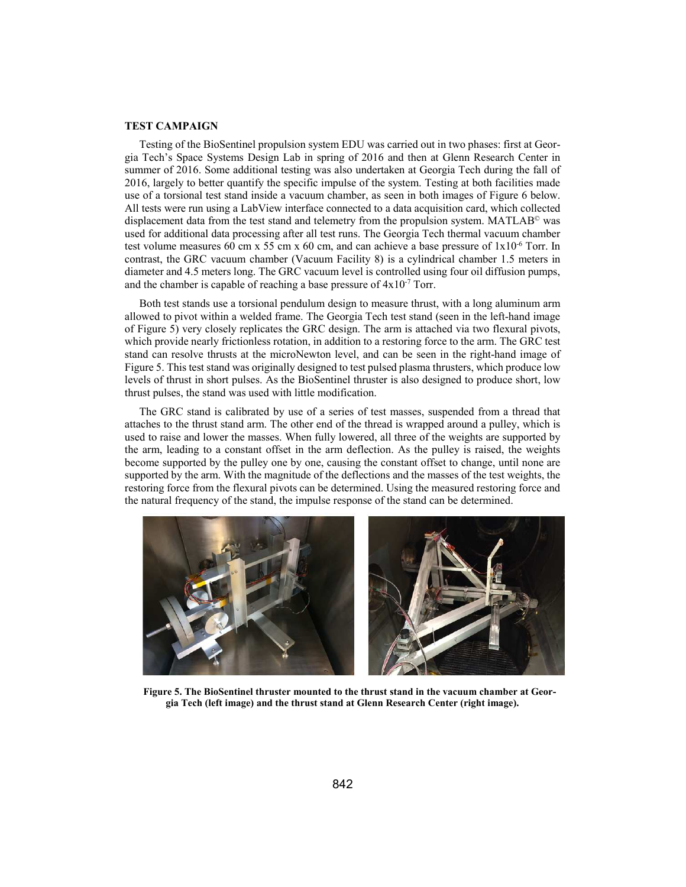#### **TEST CAMPAIGN**

Testing of the BioSentinel propulsion system EDU was carried out in two phases: first at Georgia Tech's Space Systems Design Lab in spring of 2016 and then at Glenn Research Center in summer of 2016. Some additional testing was also undertaken at Georgia Tech during the fall of 2016, largely to better quantify the specific impulse of the system. Testing at both facilities made use of a torsional test stand inside a vacuum chamber, as seen in both images of Figure 6 below. All tests were run using a LabView interface connected to a data acquisition card, which collected displacement data from the test stand and telemetry from the propulsion system. MATLAB<sup> $\degree$ </sup> was used for additional data processing after all test runs. The Georgia Tech thermal vacuum chamber test volume measures 60 cm x 55 cm x 60 cm, and can achieve a base pressure of 1x10-6 Torr. In contrast, the GRC vacuum chamber (Vacuum Facility 8) is a cylindrical chamber 1.5 meters in diameter and 4.5 meters long. The GRC vacuum level is controlled using four oil diffusion pumps, and the chamber is capable of reaching a base pressure of  $4x10^{-7}$  Torr.

Both test stands use a torsional pendulum design to measure thrust, with a long aluminum arm allowed to pivot within a welded frame. The Georgia Tech test stand (seen in the left-hand image of Figure 5) very closely replicates the GRC design. The arm is attached via two flexural pivots, which provide nearly frictionless rotation, in addition to a restoring force to the arm. The GRC test stand can resolve thrusts at the microNewton level, and can be seen in the right-hand image of Figure 5. This test stand was originally designed to test pulsed plasma thrusters, which produce low levels of thrust in short pulses. As the BioSentinel thruster is also designed to produce short, low thrust pulses, the stand was used with little modification.

The GRC stand is calibrated by use of a series of test masses, suspended from a thread that attaches to the thrust stand arm. The other end of the thread is wrapped around a pulley, which is used to raise and lower the masses. When fully lowered, all three of the weights are supported by the arm, leading to a constant offset in the arm deflection. As the pulley is raised, the weights become supported by the pulley one by one, causing the constant offset to change, until none are supported by the arm. With the magnitude of the deflections and the masses of the test weights, the restoring force from the flexural pivots can be determined. Using the measured restoring force and the natural frequency of the stand, the impulse response of the stand can be determined.



**Figure 5. The BioSentinel thruster mounted to the thrust stand in the vacuum chamber at Georgia Tech (left image) and the thrust stand at Glenn Research Center (right image).**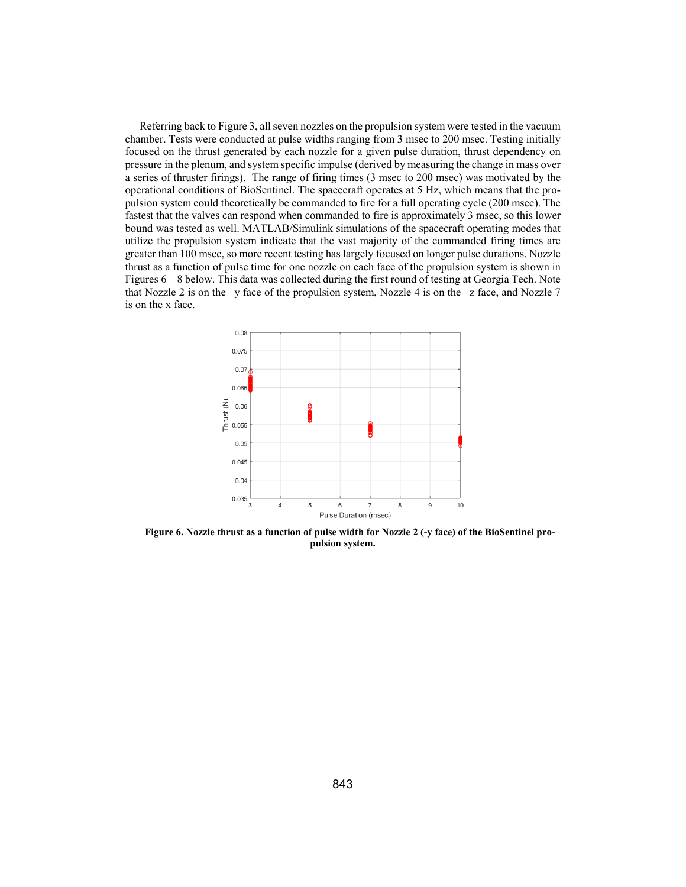Referring back to Figure 3, all seven nozzles on the propulsion system were tested in the vacuum chamber. Tests were conducted at pulse widths ranging from 3 msec to 200 msec. Testing initially focused on the thrust generated by each nozzle for a given pulse duration, thrust dependency on pressure in the plenum, and system specific impulse (derived by measuring the change in mass over a series of thruster firings). The range of firing times (3 msec to 200 msec) was motivated by the operational conditions of BioSentinel. The spacecraft operates at 5 Hz, which means that the propulsion system could theoretically be commanded to fire for a full operating cycle (200 msec). The fastest that the valves can respond when commanded to fire is approximately 3 msec, so this lower bound was tested as well. MATLAB/Simulink simulations of the spacecraft operating modes that utilize the propulsion system indicate that the vast majority of the commanded firing times are greater than 100 msec, so more recent testing has largely focused on longer pulse durations. Nozzle thrust as a function of pulse time for one nozzle on each face of the propulsion system is shown in Figures 6 – 8 below. This data was collected during the first round of testing at Georgia Tech. Note that Nozzle 2 is on the  $-y$  face of the propulsion system, Nozzle 4 is on the  $-z$  face, and Nozzle 7 is on the x face.



**Figure 6. Nozzle thrust as a function of pulse width for Nozzle 2 (-y face) of the BioSentinel propulsion system.**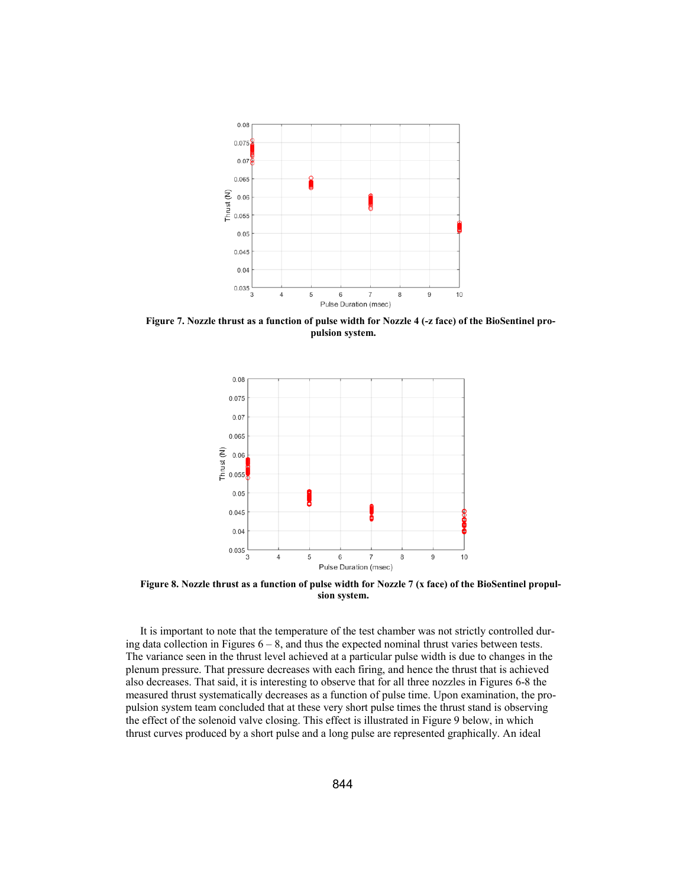

**Figure 7. Nozzle thrust as a function of pulse width for Nozzle 4 (-z face) of the BioSentinel propulsion system.** 



**Figure 8. Nozzle thrust as a function of pulse width for Nozzle 7 (x face) of the BioSentinel propulsion system.** 

It is important to note that the temperature of the test chamber was not strictly controlled during data collection in Figures  $6 - 8$ , and thus the expected nominal thrust varies between tests. The variance seen in the thrust level achieved at a particular pulse width is due to changes in the plenum pressure. That pressure decreases with each firing, and hence the thrust that is achieved also decreases. That said, it is interesting to observe that for all three nozzles in Figures 6-8 the measured thrust systematically decreases as a function of pulse time. Upon examination, the propulsion system team concluded that at these very short pulse times the thrust stand is observing the effect of the solenoid valve closing. This effect is illustrated in Figure 9 below, in which thrust curves produced by a short pulse and a long pulse are represented graphically. An ideal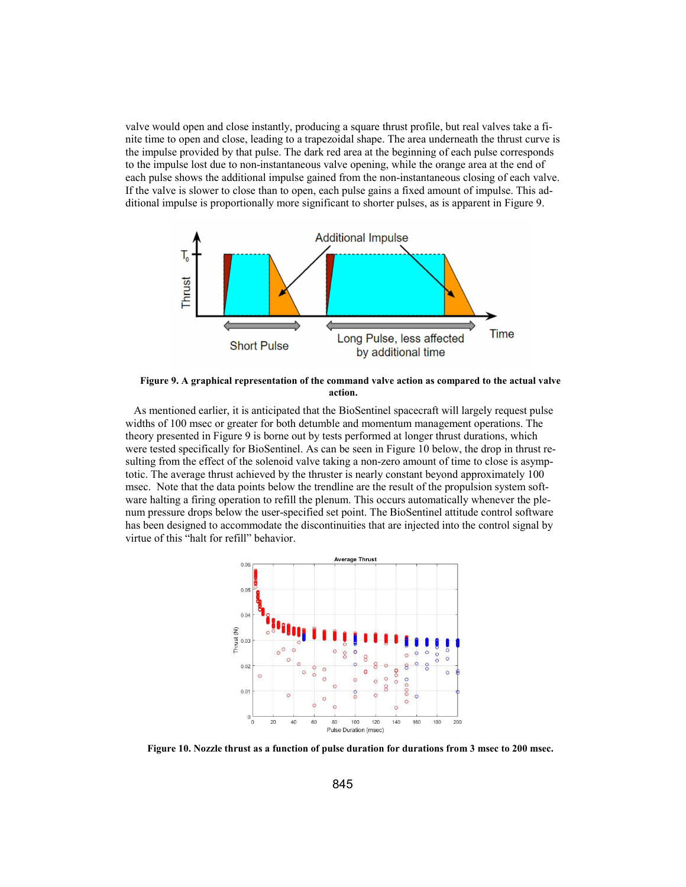valve would open and close instantly, producing a square thrust profile, but real valves take a finite time to open and close, leading to a trapezoidal shape. The area underneath the thrust curve is the impulse provided by that pulse. The dark red area at the beginning of each pulse corresponds to the impulse lost due to non-instantaneous valve opening, while the orange area at the end of each pulse shows the additional impulse gained from the non-instantaneous closing of each valve. If the valve is slower to close than to open, each pulse gains a fixed amount of impulse. This additional impulse is proportionally more significant to shorter pulses, as is apparent in Figure 9.



**Figure 9. A graphical representation of the command valve action as compared to the actual valve action.** 

 As mentioned earlier, it is anticipated that the BioSentinel spacecraft will largely request pulse widths of 100 msec or greater for both detumble and momentum management operations. The theory presented in Figure 9 is borne out by tests performed at longer thrust durations, which were tested specifically for BioSentinel. As can be seen in Figure 10 below, the drop in thrust resulting from the effect of the solenoid valve taking a non-zero amount of time to close is asymptotic. The average thrust achieved by the thruster is nearly constant beyond approximately 100 msec. Note that the data points below the trendline are the result of the propulsion system software halting a firing operation to refill the plenum. This occurs automatically whenever the plenum pressure drops below the user-specified set point. The BioSentinel attitude control software has been designed to accommodate the discontinuities that are injected into the control signal by virtue of this "halt for refill" behavior.



**Figure 10. Nozzle thrust as a function of pulse duration for durations from 3 msec to 200 msec.**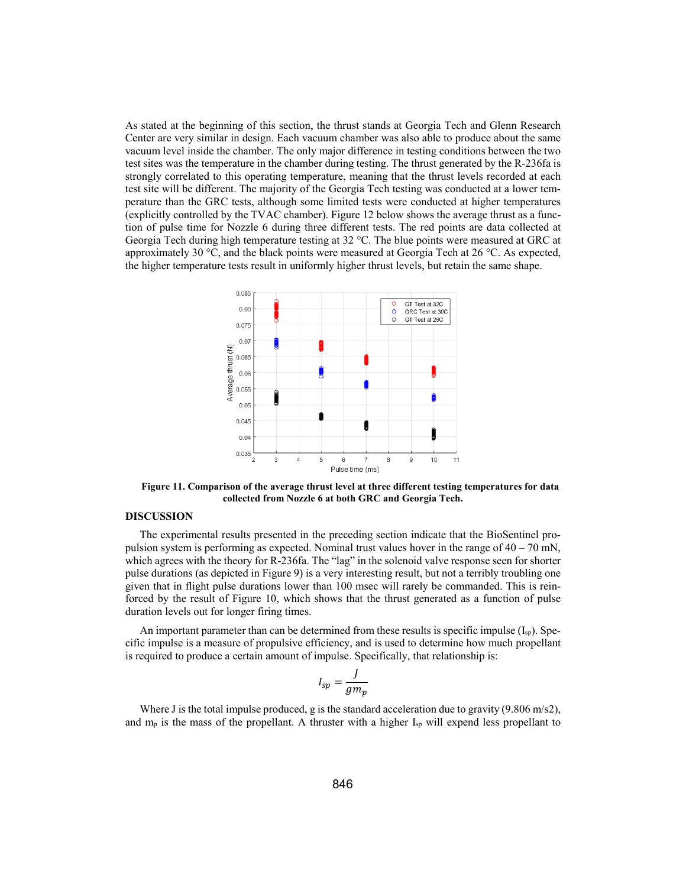As stated at the beginning of this section, the thrust stands at Georgia Tech and Glenn Research Center are very similar in design. Each vacuum chamber was also able to produce about the same vacuum level inside the chamber. The only major difference in testing conditions between the two test sites was the temperature in the chamber during testing. The thrust generated by the R-236fa is strongly correlated to this operating temperature, meaning that the thrust levels recorded at each test site will be different. The majority of the Georgia Tech testing was conducted at a lower temperature than the GRC tests, although some limited tests were conducted at higher temperatures (explicitly controlled by the TVAC chamber). Figure 12 below shows the average thrust as a function of pulse time for Nozzle 6 during three different tests. The red points are data collected at Georgia Tech during high temperature testing at 32 °C. The blue points were measured at GRC at approximately 30  $\degree$ C, and the black points were measured at Georgia Tech at 26  $\degree$ C. As expected, the higher temperature tests result in uniformly higher thrust levels, but retain the same shape.



**Figure 11. Comparison of the average thrust level at three different testing temperatures for data collected from Nozzle 6 at both GRC and Georgia Tech.** 

### **DISCUSSION**

The experimental results presented in the preceding section indicate that the BioSentinel propulsion system is performing as expected. Nominal trust values hover in the range of  $40 - 70$  mN, which agrees with the theory for R-236fa. The "lag" in the solenoid valve response seen for shorter pulse durations (as depicted in Figure 9) is a very interesting result, but not a terribly troubling one given that in flight pulse durations lower than 100 msec will rarely be commanded. This is reinforced by the result of Figure 10, which shows that the thrust generated as a function of pulse duration levels out for longer firing times.

An important parameter than can be determined from these results is specific impulse  $(I_{sp})$ . Specific impulse is a measure of propulsive efficiency, and is used to determine how much propellant is required to produce a certain amount of impulse. Specifically, that relationship is:

$$
I_{sp} = \frac{J}{gm_p}
$$

Where J is the total impulse produced, g is the standard acceleration due to gravity  $(9.806 \text{ m/s2})$ , and  $m_p$  is the mass of the propellant. A thruster with a higher  $I_{sp}$  will expend less propellant to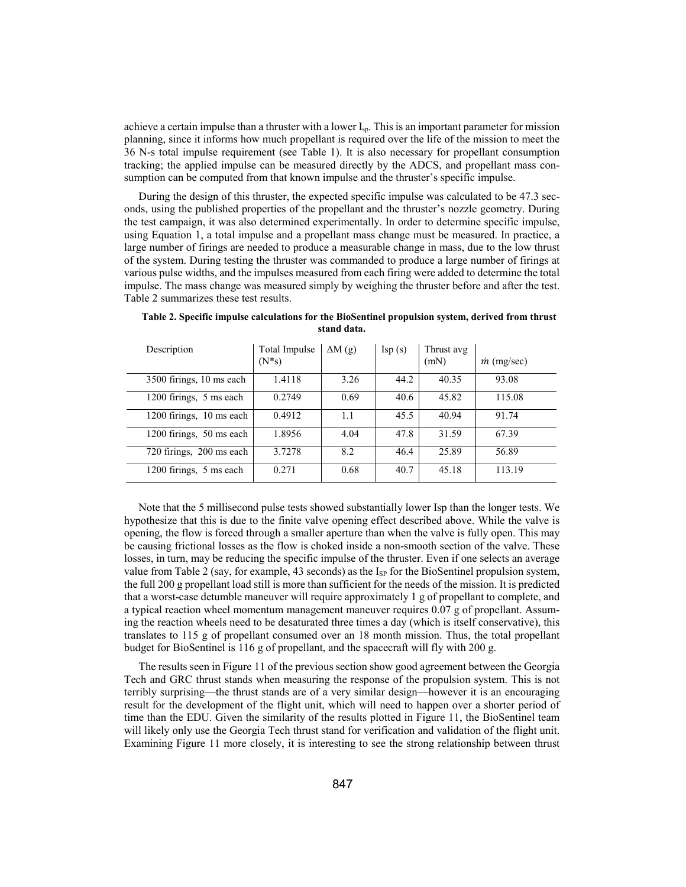achieve a certain impulse than a thruster with a lower I<sub>sp</sub>. This is an important parameter for mission planning, since it informs how much propellant is required over the life of the mission to meet the 36 N-s total impulse requirement (see Table 1). It is also necessary for propellant consumption tracking; the applied impulse can be measured directly by the ADCS, and propellant mass consumption can be computed from that known impulse and the thruster's specific impulse.

During the design of this thruster, the expected specific impulse was calculated to be 47.3 seconds, using the published properties of the propellant and the thruster's nozzle geometry. During the test campaign, it was also determined experimentally. In order to determine specific impulse, using Equation 1, a total impulse and a propellant mass change must be measured. In practice, a large number of firings are needed to produce a measurable change in mass, due to the low thrust of the system. During testing the thruster was commanded to produce a large number of firings at various pulse widths, and the impulses measured from each firing were added to determine the total impulse. The mass change was measured simply by weighing the thruster before and after the test. Table 2 summarizes these test results.

| Description              | Total Impulse<br>$(N^*s)$ | $\Delta M$ (g) | $\text{Isp}(s)$ | Thrust avg<br>(mN) | $\dot{m}$ (mg/sec) |
|--------------------------|---------------------------|----------------|-----------------|--------------------|--------------------|
| 3500 firings, 10 ms each | 1.4118                    | 3.26           | 44.2            | 40.35              | 93.08              |
| 1200 firings, 5 ms each  | 0.2749                    | 0.69           | 40.6            | 45.82              | 115.08             |
| 1200 firings, 10 ms each | 0.4912                    | 1.1            | 45.5            | 40.94              | 91.74              |
| 1200 firings, 50 ms each | 1.8956                    | 4.04           | 47.8            | 31.59              | 67.39              |
| 720 firings, 200 ms each | 3.7278                    | 8.2            | 46.4            | 25.89              | 56.89              |
| 1200 firings, 5 ms each  | 0.271                     | 0.68           | 40.7            | 45.18              | 113.19             |

**Table 2. Specific impulse calculations for the BioSentinel propulsion system, derived from thrust stand data.** 

Note that the 5 millisecond pulse tests showed substantially lower Isp than the longer tests. We hypothesize that this is due to the finite valve opening effect described above. While the valve is opening, the flow is forced through a smaller aperture than when the valve is fully open. This may be causing frictional losses as the flow is choked inside a non-smooth section of the valve. These losses, in turn, may be reducing the specific impulse of the thruster. Even if one selects an average value from Table 2 (say, for example, 43 seconds) as the  $I_{SP}$  for the BioSentinel propulsion system, the full 200 g propellant load still is more than sufficient for the needs of the mission. It is predicted that a worst-case detumble maneuver will require approximately 1 g of propellant to complete, and a typical reaction wheel momentum management maneuver requires 0.07 g of propellant. Assuming the reaction wheels need to be desaturated three times a day (which is itself conservative), this translates to 115 g of propellant consumed over an 18 month mission. Thus, the total propellant budget for BioSentinel is 116 g of propellant, and the spacecraft will fly with 200 g.

The results seen in Figure 11 of the previous section show good agreement between the Georgia Tech and GRC thrust stands when measuring the response of the propulsion system. This is not terribly surprising—the thrust stands are of a very similar design—however it is an encouraging result for the development of the flight unit, which will need to happen over a shorter period of time than the EDU. Given the similarity of the results plotted in Figure 11, the BioSentinel team will likely only use the Georgia Tech thrust stand for verification and validation of the flight unit. Examining Figure 11 more closely, it is interesting to see the strong relationship between thrust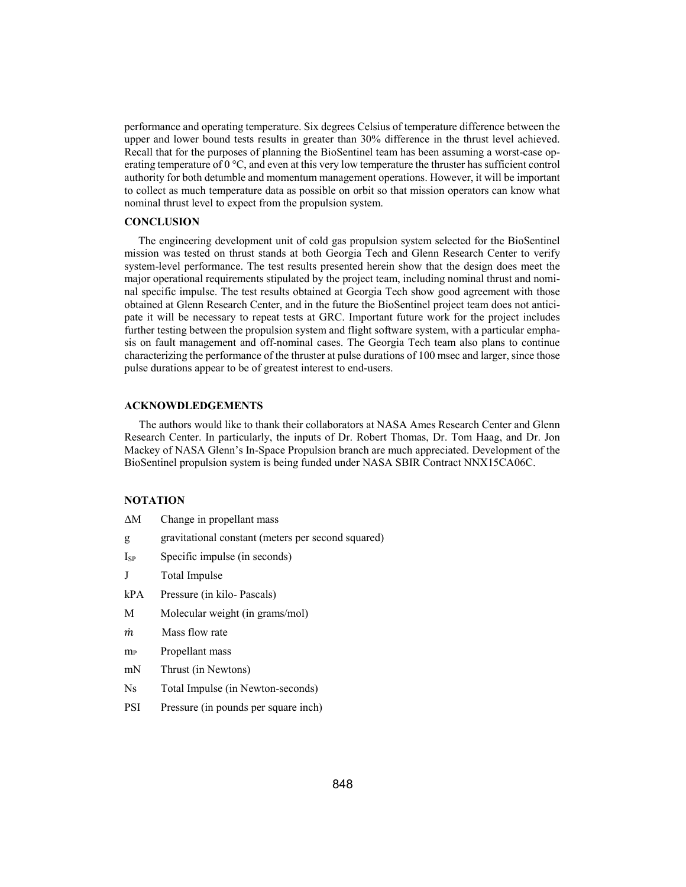performance and operating temperature. Six degrees Celsius of temperature difference between the upper and lower bound tests results in greater than 30% difference in the thrust level achieved. Recall that for the purposes of planning the BioSentinel team has been assuming a worst-case operating temperature of 0 °C, and even at this very low temperature the thruster has sufficient control authority for both detumble and momentum management operations. However, it will be important to collect as much temperature data as possible on orbit so that mission operators can know what nominal thrust level to expect from the propulsion system.

#### **CONCLUSION**

 The engineering development unit of cold gas propulsion system selected for the BioSentinel mission was tested on thrust stands at both Georgia Tech and Glenn Research Center to verify system-level performance. The test results presented herein show that the design does meet the major operational requirements stipulated by the project team, including nominal thrust and nominal specific impulse. The test results obtained at Georgia Tech show good agreement with those obtained at Glenn Research Center, and in the future the BioSentinel project team does not anticipate it will be necessary to repeat tests at GRC. Important future work for the project includes further testing between the propulsion system and flight software system, with a particular emphasis on fault management and off-nominal cases. The Georgia Tech team also plans to continue characterizing the performance of the thruster at pulse durations of 100 msec and larger, since those pulse durations appear to be of greatest interest to end-users.

## **ACKNOWDLEDGEMENTS**

The authors would like to thank their collaborators at NASA Ames Research Center and Glenn Research Center. In particularly, the inputs of Dr. Robert Thomas, Dr. Tom Haag, and Dr. Jon Mackey of NASA Glenn's In-Space Propulsion branch are much appreciated. Development of the BioSentinel propulsion system is being funded under NASA SBIR Contract NNX15CA06C.

#### **NOTATION**

| ΔΜ                | Change in propellant mass                          |
|-------------------|----------------------------------------------------|
| g                 | gravitational constant (meters per second squared) |
| Isp               | Specific impulse (in seconds)                      |
| J                 | Total Impulse                                      |
| kPA               | Pressure (in kilo-Pascals)                         |
| М                 | Molecular weight (in grams/mol)                    |
| т                 | Mass flow rate                                     |
| ${\rm m}_{\rm P}$ | Propellant mass                                    |
| mN                | Thrust (in Newtons)                                |
| Ns                | Total Impulse (in Newton-seconds)                  |
| PSI               | Pressure (in pounds per square inch)               |
|                   |                                                    |